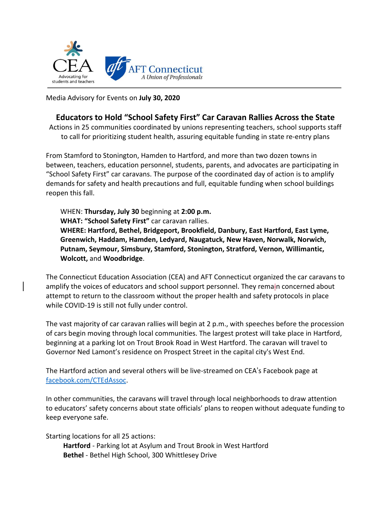

Media Advisory for Events on **July 30, 2020**

## **Educators to Hold "School Safety First" Car Caravan Rallies Across the State**

Actions in 25 communities coordinated by unions representing teachers, school supports staff to call for prioritizing student health, assuring equitable funding in state re-entry plans

From Stamford to Stonington, Hamden to Hartford, and more than two dozen towns in between, teachers, education personnel, students, parents, and advocates are participating in "School Safety First" car caravans. The purpose of the coordinated day of action is to amplify demands for safety and health precautions and full, equitable funding when school buildings reopen this fall.

WHEN: **Thursday, July 30** beginning at **2:00 p.m. WHAT: "School Safety First"** car caravan rallies. **WHERE: Hartford, Bethel, Bridgeport, Brookfield, Danbury, East Hartford, East Lyme, Greenwich, Haddam, Hamden, Ledyard, Naugatuck, New Haven, Norwalk, Norwich, Putnam, Seymour, Simsbury, Stamford, Stonington, Stratford, Vernon, Willimantic, Wolcott,** and **Woodbridge**.

The Connecticut Education Association (CEA) and AFT Connecticut organized the car caravans to amplify the voices of educators and school support personnel. They remain concerned about attempt to return to the classroom without the proper health and safety protocols in place while COVID-19 is still not fully under control.

The vast majority of car caravan rallies will begin at 2 p.m., with speeches before the procession of cars begin moving through local communities. The largest protest will take place in Hartford, beginning at a parking lot on Trout Brook Road in West Hartford. The caravan will travel to Governor Ned Lamont's residence on Prospect Street in the capital city's West End.

The Hartford action and several others will be live-streamed on CEA's Facebook page at [facebook.com/CTEdAssoc.](http://facebook.com/CTEdAssoc)

In other communities, the caravans will travel through local neighborhoods to draw attention to educators' safety concerns about state officials' plans to reopen without adequate funding to keep everyone safe.

Starting locations for all 25 actions:

**Hartford** - Parking lot at Asylum and Trout Brook in West Hartford **Bethel** - Bethel High School, 300 Whittlesey Drive